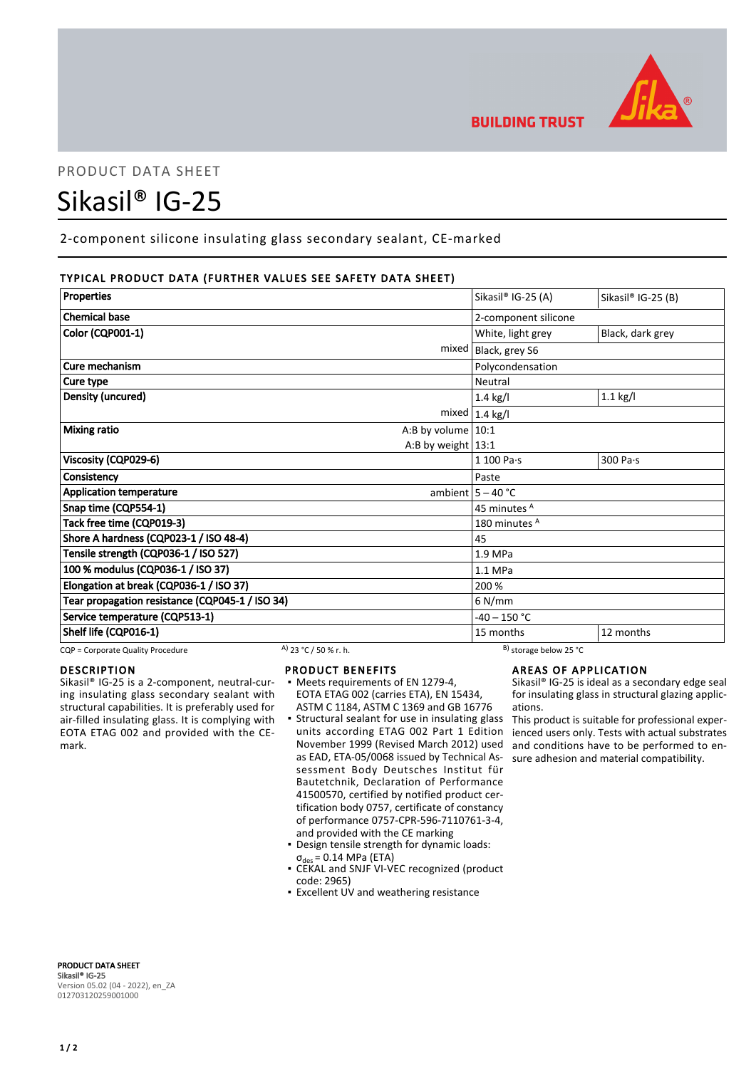

# PRODUCT DATA SHEET

# Sikasil® IG-25

2-component silicone insulating glass secondary sealant, CE-marked

# TYPICAL PRODUCT DATA (FURTHER VALUES SEE SAFETY DATA SHEET)

| <b>Properties</b>                               | Sikasil® IG-25 (A)       | Sikasil® IG-25 (B) |
|-------------------------------------------------|--------------------------|--------------------|
| <b>Chemical base</b>                            | 2-component silicone     |                    |
| Color (CQP001-1)                                | White, light grey        | Black, dark grey   |
| mixed                                           | Black, grey S6           |                    |
| Cure mechanism                                  | Polycondensation         |                    |
| Cure type                                       | Neutral                  |                    |
| Density (uncured)                               | $1.4$ kg/l               | $1.1$ kg/l         |
| mixed                                           | $1.4$ kg/l               |                    |
| <b>Mixing ratio</b><br>A:B by volume $10:1$     |                          |                    |
| A:B by weight $13:1$                            |                          |                    |
| Viscosity (CQP029-6)                            | $1100$ Pa $\cdot$ s      | 300 Pa·s           |
| Consistency                                     | Paste                    |                    |
| <b>Application temperature</b>                  | ambient $5 - 40$ °C      |                    |
| Snap time (CQP554-1)                            | 45 minutes A             |                    |
| Tack free time (CQP019-3)                       | 180 minutes <sup>A</sup> |                    |
| Shore A hardness (CQP023-1 / ISO 48-4)          | 45                       |                    |
| Tensile strength (CQP036-1 / ISO 527)           | 1.9 MPa                  |                    |
| 100 % modulus (CQP036-1 / ISO 37)               | 1.1 MPa                  |                    |
| Elongation at break (CQP036-1 / ISO 37)         | 200 %                    |                    |
| Tear propagation resistance (CQP045-1 / ISO 34) | $6$ N/mm                 |                    |
| Service temperature (CQP513-1)                  | $-40 - 150$ °C           |                    |
| Shelf life (CQP016-1)                           | 15 months                | 12 months          |

CQP = Corporate Quality Procedure A) 23 °C / 50 % r. h. B) storage below 25 °C

#### DESCRIPTION

Sikasil® IG-25 is a 2-component, neutral-curing insulating glass secondary sealant with structural capabilities. It is preferably used for air-filled insulating glass. It is complying with EOTA ETAG 002 and provided with the CEmark.

#### PRODUCT BENEFITS

- Meets requirements of EN 1279-4, EOTA ETAG 002 (carries ETA), EN 15434, ASTM C 1184, ASTM C 1369 and GB 16776
- **Structural sealant for use in insulating glass** units according ETAG 002 Part 1 Edition November 1999 (Revised March 2012) used as EAD, ETA-05/0068 issued by Technical Assessment Body Deutsches Institut für Bautetchnik, Declaration of Performance 41500570, certified by notified product certification body 0757, certificate of constancy of performance 0757-CPR-596-7110761-3-4, and provided with the CE marking
- Design tensile strength for dynamic loads:  $\sigma_{des}$  = 0.14 MPa (ETA)
- CEKAL and SNJF VI-VEC recognized (product code: 2965)
- **Excellent UV and weathering resistance**

#### AREAS OF APPLICATION

Sikasil® IG-25 is ideal as a secondary edge seal for insulating glass in structural glazing applications.

This product is suitable for professional experienced users only. Tests with actual substrates and conditions have to be performed to ensure adhesion and material compatibility.

PRODUCT DATA SHEET Sikasil® IG-25 Version 05.02 (04 - 2022), en\_ZA 012703120259001000